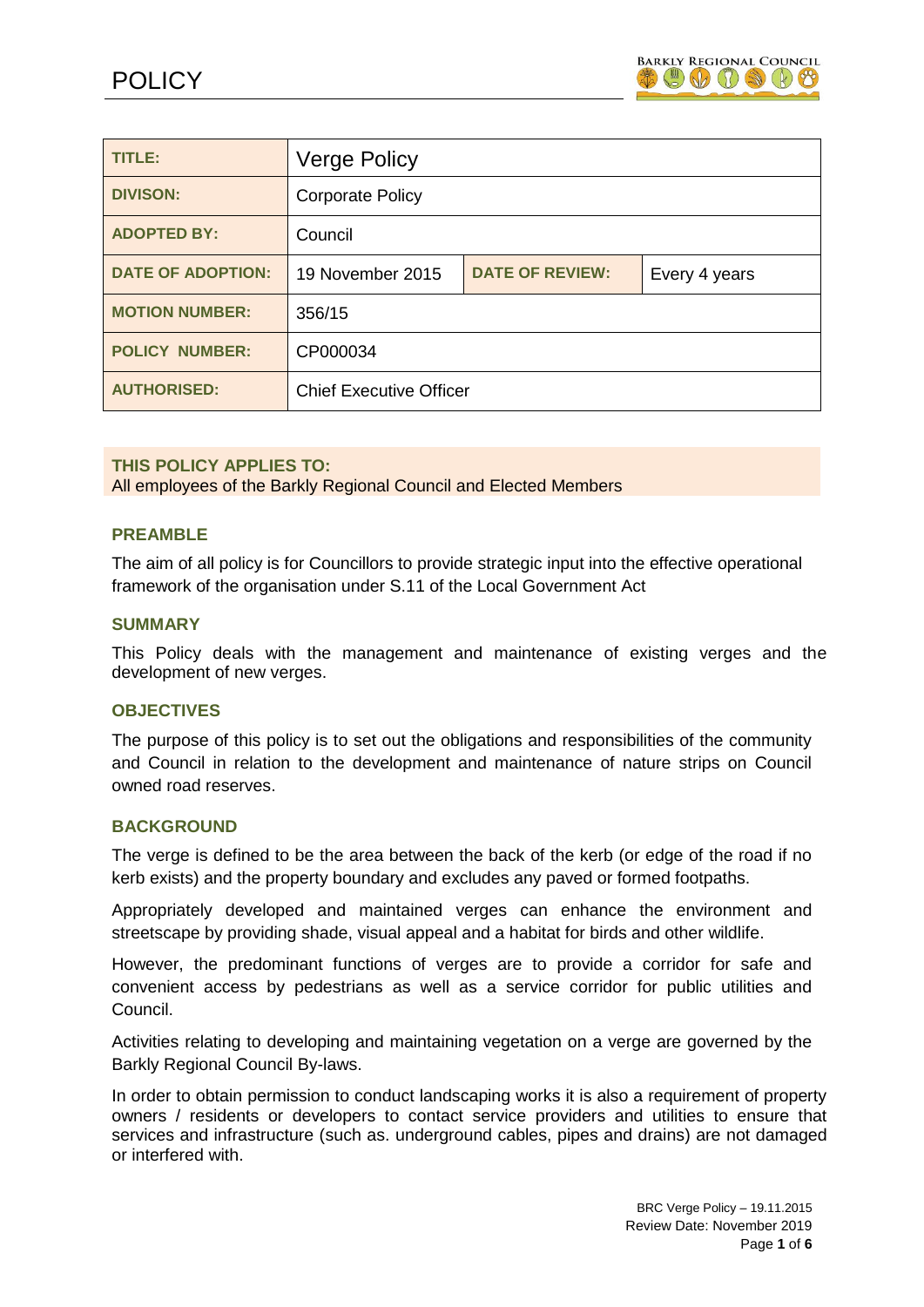

| TITLE:                   | <b>Verge Policy</b>            |                        |               |
|--------------------------|--------------------------------|------------------------|---------------|
| <b>DIVISON:</b>          | <b>Corporate Policy</b>        |                        |               |
| <b>ADOPTED BY:</b>       | Council                        |                        |               |
| <b>DATE OF ADOPTION:</b> | 19 November 2015               | <b>DATE OF REVIEW:</b> | Every 4 years |
| <b>MOTION NUMBER:</b>    | 356/15                         |                        |               |
| <b>POLICY NUMBER:</b>    | CP000034                       |                        |               |
| <b>AUTHORISED:</b>       | <b>Chief Executive Officer</b> |                        |               |

#### **THIS POLICY APPLIES TO:**

All employees of the Barkly Regional Council and Elected Members

#### **PREAMBLE**

The aim of all policy is for Councillors to provide strategic input into the effective operational framework of the organisation under S.11 of the Local Government Act

#### **SUMMARY**

This Policy deals with the management and maintenance of existing verges and the development of new verges.

#### **OBJECTIVES**

The purpose of this policy is to set out the obligations and responsibilities of the community and Council in relation to the development and maintenance of nature strips on Council owned road reserves.

### **BACKGROUND**

The verge is defined to be the area between the back of the kerb (or edge of the road if no kerb exists) and the property boundary and excludes any paved or formed footpaths.

Appropriately developed and maintained verges can enhance the environment and streetscape by providing shade, visual appeal and a habitat for birds and other wildlife.

However, the predominant functions of verges are to provide a corridor for safe and convenient access by pedestrians as well as a service corridor for public utilities and Council.

Activities relating to developing and maintaining vegetation on a verge are governed by the Barkly Regional Council By-laws.

In order to obtain permission to conduct landscaping works it is also a requirement of property owners / residents or developers to contact service providers and utilities to ensure that services and infrastructure (such as. underground cables, pipes and drains) are not damaged or interfered with.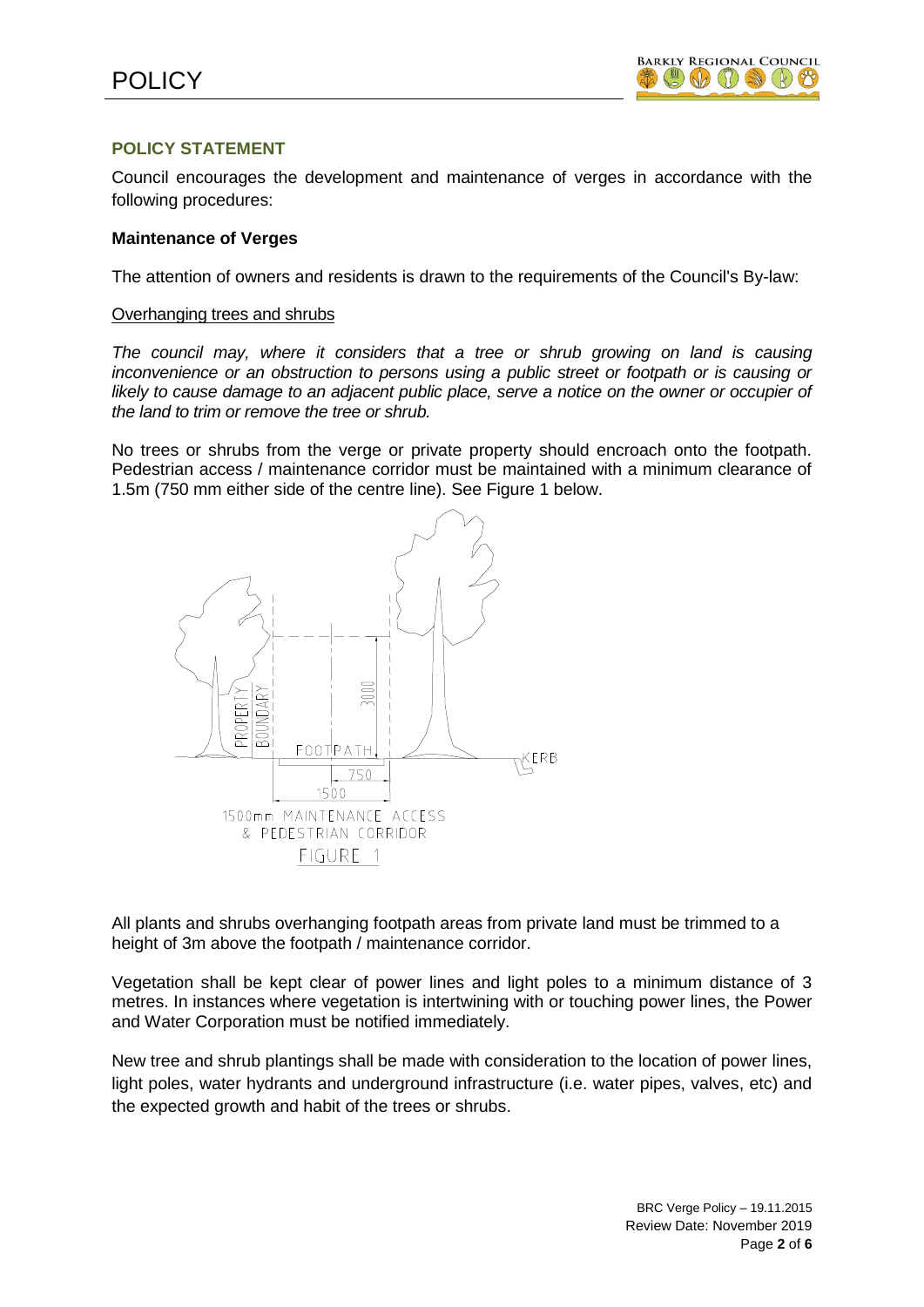# **POLICY STATEMENT**

Council encourages the development and maintenance of verges in accordance with the following procedures:

#### **Maintenance of Verges**

The attention of owners and residents is drawn to the requirements of the Council's By-law:

#### Overhanging trees and shrubs

*The council may, where it considers that a tree or shrub growing on land is causing inconvenience or an obstruction to persons using a public street or footpath or is causing or*  likely to cause damage to an adjacent public place, serve a notice on the owner or occupier of *the land to trim or remove the tree or shrub.*

No trees or shrubs from the verge or private property should encroach onto the footpath. Pedestrian access / maintenance corridor must be maintained with a minimum clearance of 1.5m (750 mm either side of the centre line). See Figure 1 below.



All plants and shrubs overhanging footpath areas from private land must be trimmed to a height of 3m above the footpath / maintenance corridor.

Vegetation shall be kept clear of power lines and light poles to a minimum distance of 3 metres. In instances where vegetation is intertwining with or touching power lines, the Power and Water Corporation must be notified immediately.

New tree and shrub plantings shall be made with consideration to the location of power lines, light poles, water hydrants and underground infrastructure (i.e. water pipes, valves, etc) and the expected growth and habit of the trees or shrubs.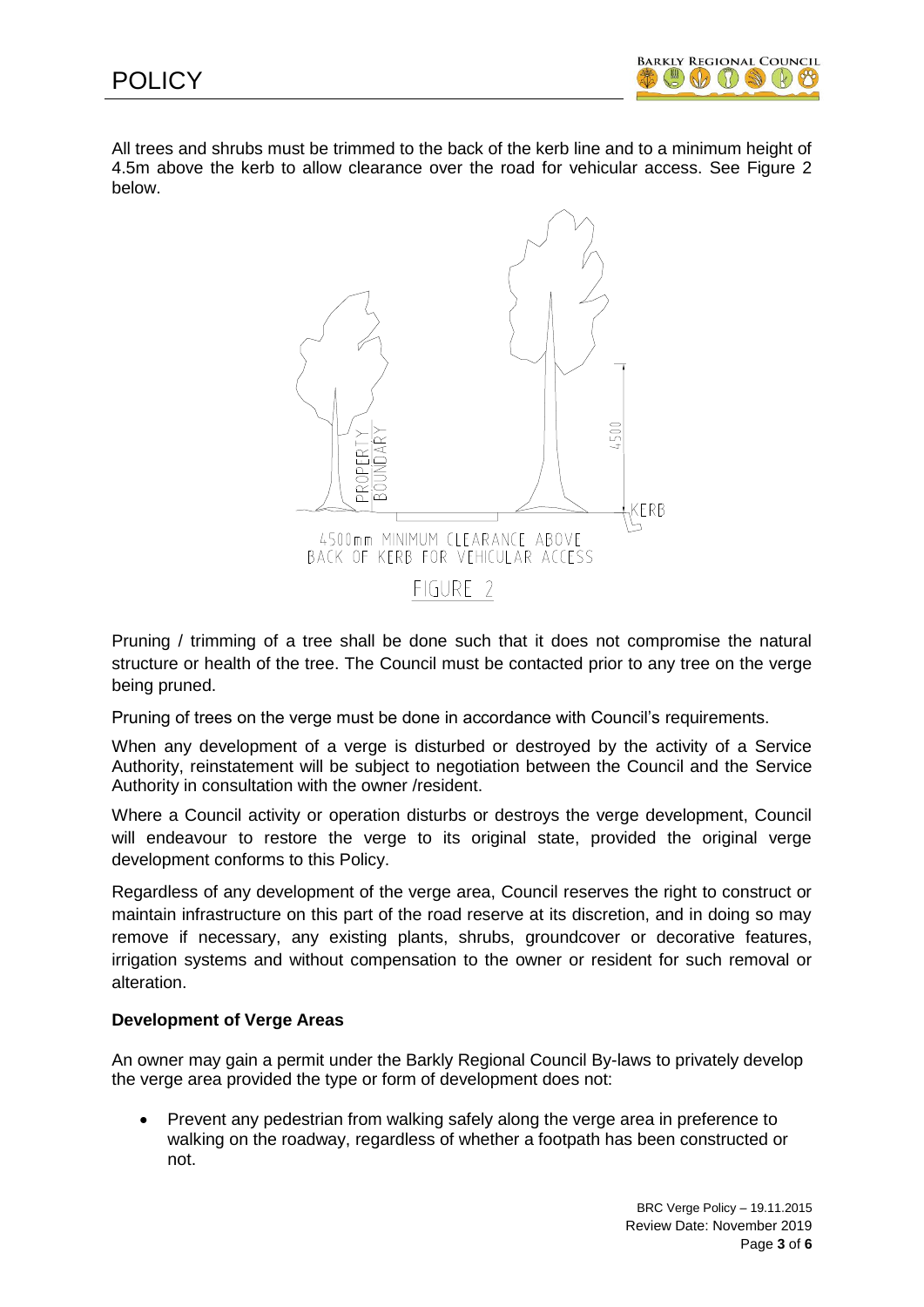

All trees and shrubs must be trimmed to the back of the kerb line and to a minimum height of 4.5m above the kerb to allow clearance over the road for vehicular access. See Figure 2 below.



Pruning / trimming of a tree shall be done such that it does not compromise the natural structure or health of the tree. The Council must be contacted prior to any tree on the verge being pruned.

Pruning of trees on the verge must be done in accordance with Council's requirements.

When any development of a verge is disturbed or destroyed by the activity of a Service Authority, reinstatement will be subject to negotiation between the Council and the Service Authority in consultation with the owner /resident.

Where a Council activity or operation disturbs or destroys the verge development, Council will endeavour to restore the verge to its original state, provided the original verge development conforms to this Policy.

Regardless of any development of the verge area, Council reserves the right to construct or maintain infrastructure on this part of the road reserve at its discretion, and in doing so may remove if necessary, any existing plants, shrubs, groundcover or decorative features, irrigation systems and without compensation to the owner or resident for such removal or alteration.

# **Development of Verge Areas**

An owner may gain a permit under the Barkly Regional Council By-laws to privately develop the verge area provided the type or form of development does not:

 Prevent any pedestrian from walking safely along the verge area in preference to walking on the roadway, regardless of whether a footpath has been constructed or not.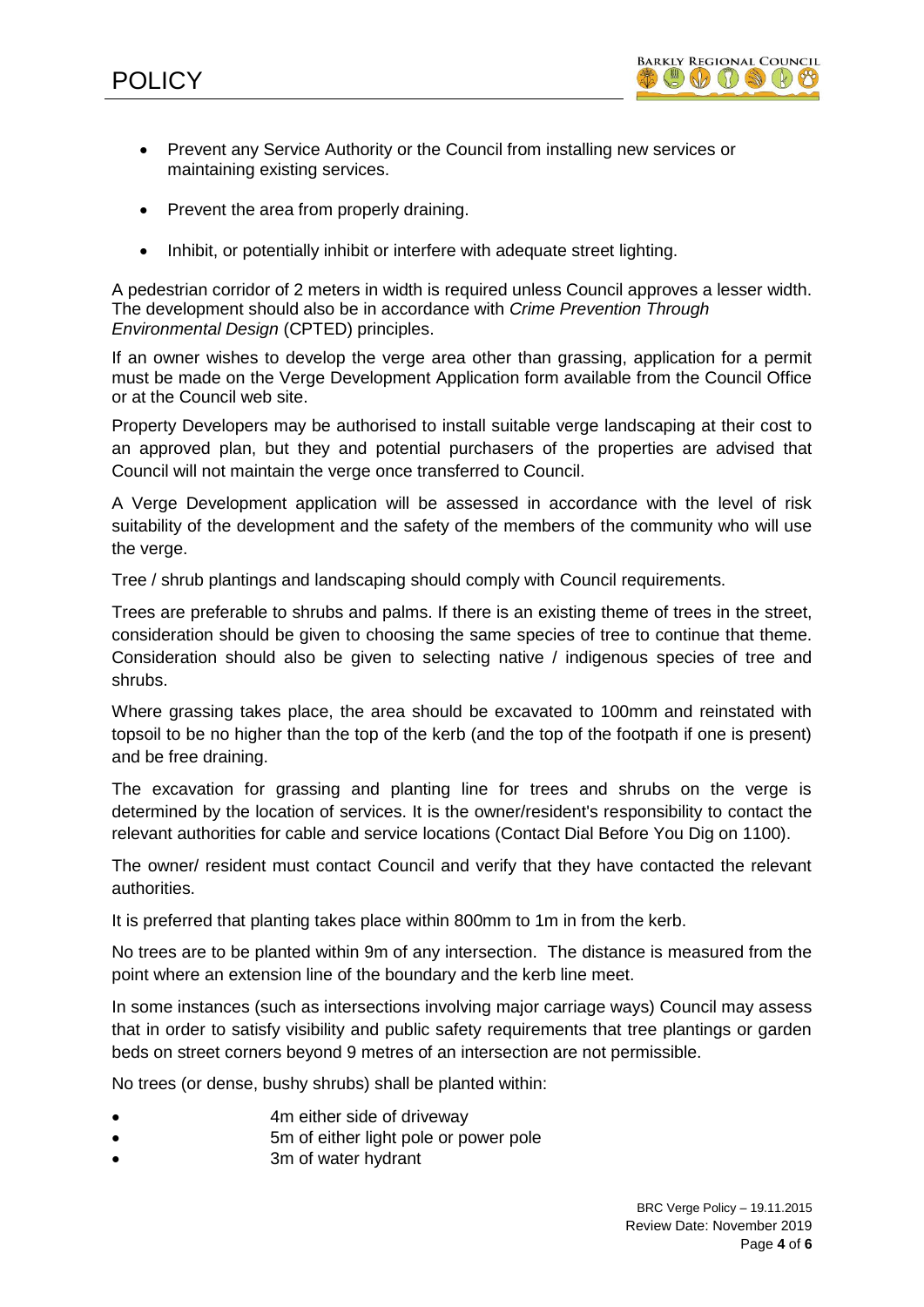- Prevent any Service Authority or the Council from installing new services or maintaining existing services.
- Prevent the area from properly draining.
- Inhibit, or potentially inhibit or interfere with adequate street lighting.

A pedestrian corridor of 2 meters in width is required unless Council approves a lesser width. The development should also be in accordance with *Crime Prevention Through Environmental Design* (CPTED) principles.

If an owner wishes to develop the verge area other than grassing, application for a permit must be made on the Verge Development Application form available from the Council Office or at the Council web site.

Property Developers may be authorised to install suitable verge landscaping at their cost to an approved plan, but they and potential purchasers of the properties are advised that Council will not maintain the verge once transferred to Council.

A Verge Development application will be assessed in accordance with the level of risk suitability of the development and the safety of the members of the community who will use the verge.

Tree / shrub plantings and landscaping should comply with Council requirements.

Trees are preferable to shrubs and palms. If there is an existing theme of trees in the street, consideration should be given to choosing the same species of tree to continue that theme. Consideration should also be given to selecting native / indigenous species of tree and shrubs.

Where grassing takes place, the area should be excavated to 100mm and reinstated with topsoil to be no higher than the top of the kerb (and the top of the footpath if one is present) and be free draining.

The excavation for grassing and planting line for trees and shrubs on the verge is determined by the location of services. It is the owner/resident's responsibility to contact the relevant authorities for cable and service locations (Contact Dial Before You Dig on 1100).

The owner/ resident must contact Council and verify that they have contacted the relevant authorities.

It is preferred that planting takes place within 800mm to 1m in from the kerb.

No trees are to be planted within 9m of any intersection. The distance is measured from the point where an extension line of the boundary and the kerb line meet.

In some instances (such as intersections involving major carriage ways) Council may assess that in order to satisfy visibility and public safety requirements that tree plantings or garden beds on street corners beyond 9 metres of an intersection are not permissible.

No trees (or dense, bushy shrubs) shall be planted within:

- 4m either side of driveway
- 5m of either light pole or power pole
- 3m of water hydrant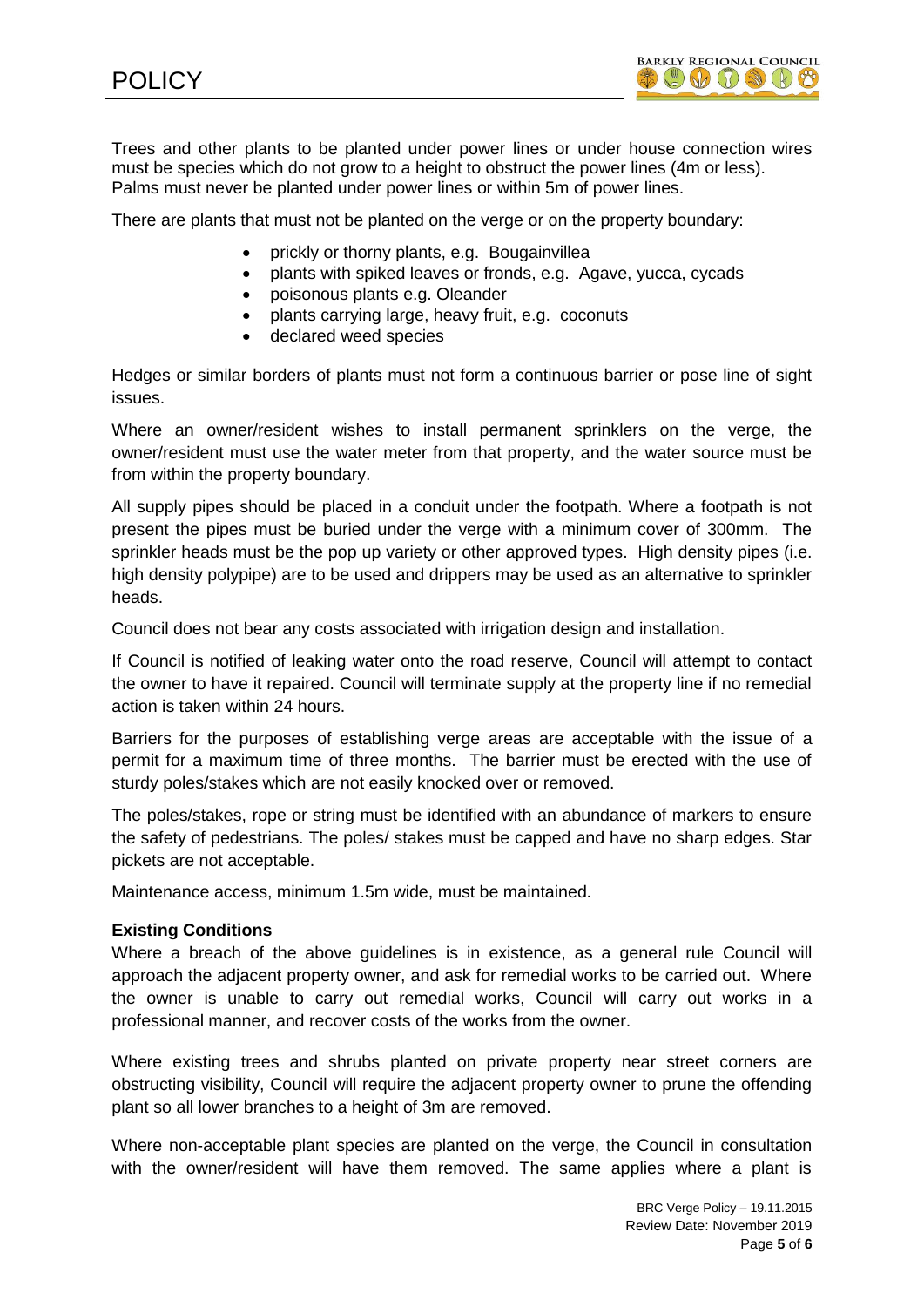Trees and other plants to be planted under power lines or under house connection wires must be species which do not grow to a height to obstruct the power lines (4m or less). Palms must never be planted under power lines or within 5m of power lines.

There are plants that must not be planted on the verge or on the property boundary:

- prickly or thorny plants, e.g. Bougainvillea
- plants with spiked leaves or fronds, e.g. Agave, vucca, cycads
- poisonous plants e.g. Oleander
- plants carrying large, heavy fruit, e.g. coconuts
- declared weed species

Hedges or similar borders of plants must not form a continuous barrier or pose line of sight issues.

Where an owner/resident wishes to install permanent sprinklers on the verge, the owner/resident must use the water meter from that property, and the water source must be from within the property boundary.

All supply pipes should be placed in a conduit under the footpath. Where a footpath is not present the pipes must be buried under the verge with a minimum cover of 300mm. The sprinkler heads must be the pop up variety or other approved types. High density pipes (i.e. high density polypipe) are to be used and drippers may be used as an alternative to sprinkler heads.

Council does not bear any costs associated with irrigation design and installation.

If Council is notified of leaking water onto the road reserve, Council will attempt to contact the owner to have it repaired. Council will terminate supply at the property line if no remedial action is taken within 24 hours.

Barriers for the purposes of establishing verge areas are acceptable with the issue of a permit for a maximum time of three months. The barrier must be erected with the use of sturdy poles/stakes which are not easily knocked over or removed.

The poles/stakes, rope or string must be identified with an abundance of markers to ensure the safety of pedestrians. The poles/ stakes must be capped and have no sharp edges. Star pickets are not acceptable.

Maintenance access, minimum 1.5m wide, must be maintained.

# **Existing Conditions**

Where a breach of the above guidelines is in existence, as a general rule Council will approach the adjacent property owner, and ask for remedial works to be carried out. Where the owner is unable to carry out remedial works, Council will carry out works in a professional manner, and recover costs of the works from the owner.

Where existing trees and shrubs planted on private property near street corners are obstructing visibility, Council will require the adjacent property owner to prune the offending plant so all lower branches to a height of 3m are removed.

Where non-acceptable plant species are planted on the verge, the Council in consultation with the owner/resident will have them removed. The same applies where a plant is